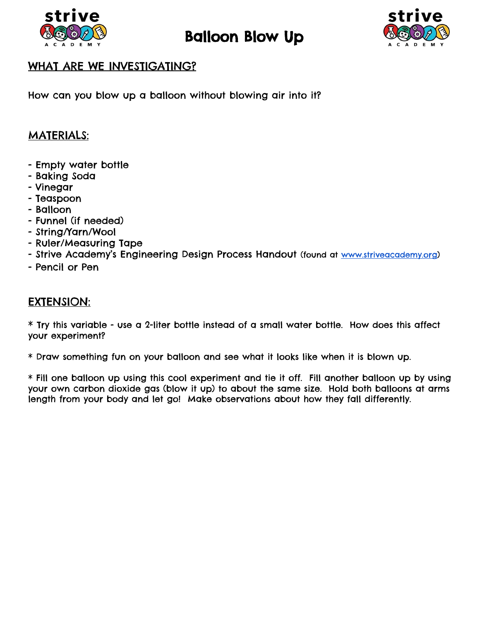

## Balloon Blow Up



## WHAT ARE WE INVESTIGATING?

How can you blow up a balloon without blowing air into it?

## MATERIALS:

- Empty water bottle
- Baking Soda
- Vinegar
- Teaspoon
- Balloon
- Funnel (if needed)
- String/Yarn/Wool
- Ruler/Measuring Tape
- Strive Academy's Engineering Design Process Handout (found at [www.striveacademy.org\)](http://www.striveacademy.org/)
- Pencil or Pen

## EXTENSION:

 $*$  Try this variable - use a 2-liter bottle instead of a small water bottle. How does this affect your experiment?

\* Draw something fun on your balloon and see what it looks like when it is blown up.

\* Fill one balloon up using this cool experiment and tie it off. Fill another balloon up by using your own carbon dioxide gas (blow it up) to about the same size. Hold both balloons at arms length from your body and let go! Make observations about how they fall differently.